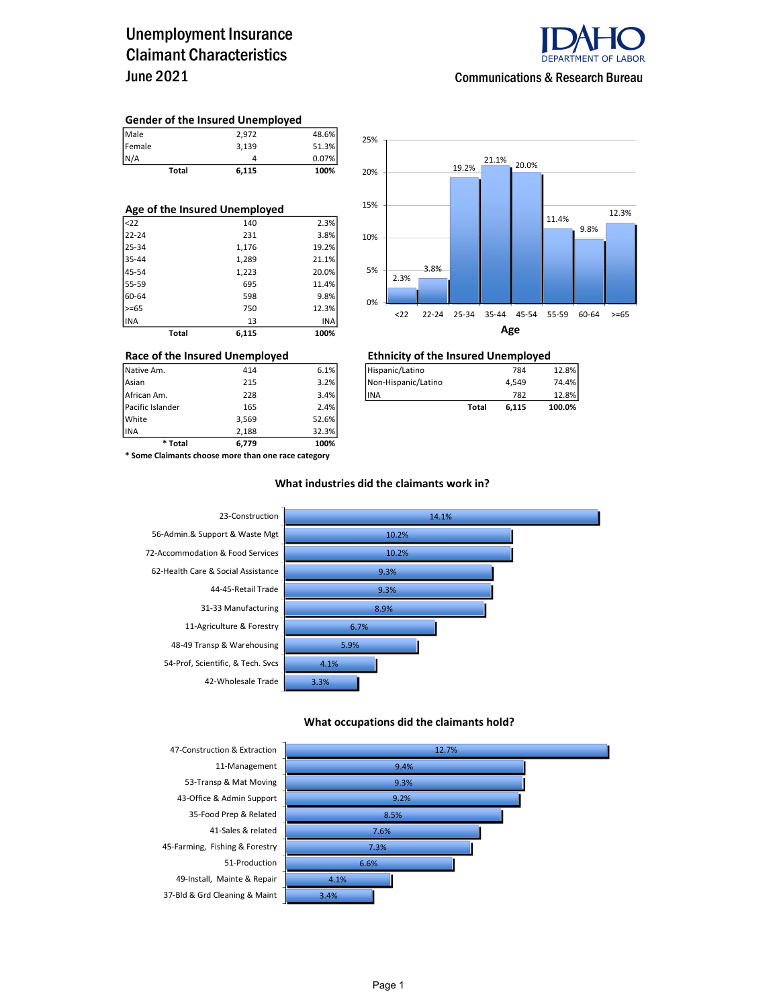### Unemployment Insurance Claimant Characteristics June 2021



#### Communications & Research Bureau

#### Gender of the Insured Unemployed

| Total         | 6,115 | 100%  |
|---------------|-------|-------|
|               |       | 0.07% |
| Female<br>N/A | 3.139 | 51.3% |
| Male          | 2.972 | 48.6% |

| Age of the Insured Unemployed |       |       |  |  |  |  |  |
|-------------------------------|-------|-------|--|--|--|--|--|
| $ $ <22                       | 140   | 2.3%  |  |  |  |  |  |
| 22-24                         | 231   | 3.8%  |  |  |  |  |  |
| 25-34                         | 1,176 | 19.2% |  |  |  |  |  |
| 35-44                         | 1,289 | 21.1% |  |  |  |  |  |
| 45-54                         | 1,223 | 20.0% |  |  |  |  |  |
| 55-59                         | 695   | 11.4% |  |  |  |  |  |
| 60-64                         | 598   | 9.8%  |  |  |  |  |  |
| $>= 65$                       | 750   | 12.3% |  |  |  |  |  |
| INA                           | 13    | INA   |  |  |  |  |  |
| Total                         | 6.115 | 100%  |  |  |  |  |  |



## Race of the Insured Unemployed<br>  $\frac{144}{\text{Native Am.}}$   $\frac{414}{\text{National}}$   $\frac{6.1\%}{\text{National distribution}}$   $\frac{1}{\text{National}}$   $\frac{784}{\text{National distribution}}$

| Native Am.       | 414 | 6.1% | Hispanic/Latino     |       | 784   | 12.8%  |
|------------------|-----|------|---------------------|-------|-------|--------|
| Asian            | 215 | 3.2% | Non-Hispanic/Latino |       | 4.549 | 74.4%  |
| African Am.      | 228 | 3.4% | <b>IINA</b>         |       | 782   | 12.8%  |
| Pacific Islander | 165 | 2.4% |                     | Total | 6.115 | 100.0% |

INA 2,188 32.3% \* Some Claimants choose more than one race category

\* Total 6,779 100%

Pacific Islander 165 2.4% White 3,569 52.6%<br>1NA 32.3% 2.188 32.3%

#### What industries did the claimants work in?



#### What occupations did the claimants hold?

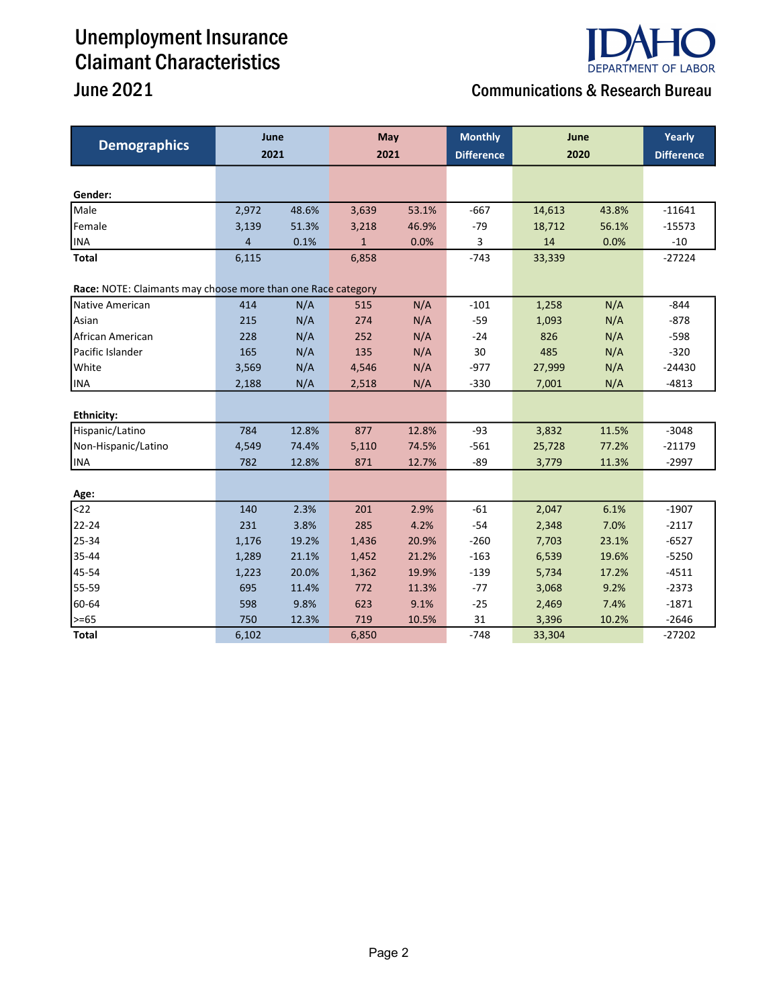## Unemployment Insurance Claimant Characteristics



### June 2021 Communications & Research Bureau

| <b>Demographics</b>                                          | June  |       | May          |       | <b>Monthly</b>    | June   |       | Yearly            |
|--------------------------------------------------------------|-------|-------|--------------|-------|-------------------|--------|-------|-------------------|
|                                                              | 2021  |       | 2021         |       | <b>Difference</b> | 2020   |       | <b>Difference</b> |
|                                                              |       |       |              |       |                   |        |       |                   |
| Gender:                                                      |       |       |              |       |                   |        |       |                   |
| Male                                                         | 2,972 | 48.6% | 3,639        | 53.1% | $-667$            | 14,613 | 43.8% | $-11641$          |
| Female                                                       | 3,139 | 51.3% | 3,218        | 46.9% | $-79$             | 18,712 | 56.1% | $-15573$          |
| <b>INA</b>                                                   | 4     | 0.1%  | $\mathbf{1}$ | 0.0%  | $\mathbf{3}$      | 14     | 0.0%  | $-10$             |
| <b>Total</b>                                                 | 6,115 |       | 6,858        |       | $-743$            | 33,339 |       | $-27224$          |
| Race: NOTE: Claimants may choose more than one Race category |       |       |              |       |                   |        |       |                   |
| Native American                                              | 414   | N/A   | 515          | N/A   | $-101$            | 1,258  | N/A   | $-844$            |
| Asian                                                        | 215   | N/A   | 274          | N/A   | $-59$             | 1,093  | N/A   | $-878$            |
| African American                                             | 228   | N/A   | 252          | N/A   | $-24$             | 826    | N/A   | $-598$            |
| Pacific Islander                                             | 165   | N/A   | 135          | N/A   | 30                | 485    | N/A   | $-320$            |
| White                                                        | 3,569 | N/A   | 4,546        | N/A   | $-977$            | 27,999 | N/A   | $-24430$          |
| <b>INA</b>                                                   | 2,188 | N/A   | 2,518        | N/A   | $-330$            | 7,001  | N/A   | $-4813$           |
|                                                              |       |       |              |       |                   |        |       |                   |
| <b>Ethnicity:</b>                                            |       |       |              |       |                   |        |       |                   |
| Hispanic/Latino                                              | 784   | 12.8% | 877          | 12.8% | $-93$             | 3,832  | 11.5% | $-3048$           |
| Non-Hispanic/Latino                                          | 4,549 | 74.4% | 5,110        | 74.5% | $-561$            | 25,728 | 77.2% | $-21179$          |
| <b>INA</b>                                                   | 782   | 12.8% | 871          | 12.7% | $-89$             | 3,779  | 11.3% | $-2997$           |
|                                                              |       |       |              |       |                   |        |       |                   |
| Age:                                                         |       |       |              |       |                   |        |       |                   |
| $22$                                                         | 140   | 2.3%  | 201          | 2.9%  | $-61$             | 2,047  | 6.1%  | $-1907$           |
| 22-24                                                        | 231   | 3.8%  | 285          | 4.2%  | $-54$             | 2,348  | 7.0%  | $-2117$           |
| 25-34                                                        | 1,176 | 19.2% | 1,436        | 20.9% | $-260$            | 7,703  | 23.1% | $-6527$           |
| 35-44                                                        | 1,289 | 21.1% | 1,452        | 21.2% | $-163$            | 6,539  | 19.6% | $-5250$           |
| 45-54                                                        | 1,223 | 20.0% | 1,362        | 19.9% | $-139$            | 5,734  | 17.2% | $-4511$           |
| 55-59                                                        | 695   | 11.4% | 772          | 11.3% | $-77$             | 3,068  | 9.2%  | $-2373$           |
| 60-64                                                        | 598   | 9.8%  | 623          | 9.1%  | $-25$             | 2,469  | 7.4%  | $-1871$           |
| >=65                                                         | 750   | 12.3% | 719          | 10.5% | 31                | 3,396  | 10.2% | $-2646$           |
| <b>Total</b>                                                 | 6,102 |       | 6,850        |       | $-748$            | 33,304 |       | $-27202$          |